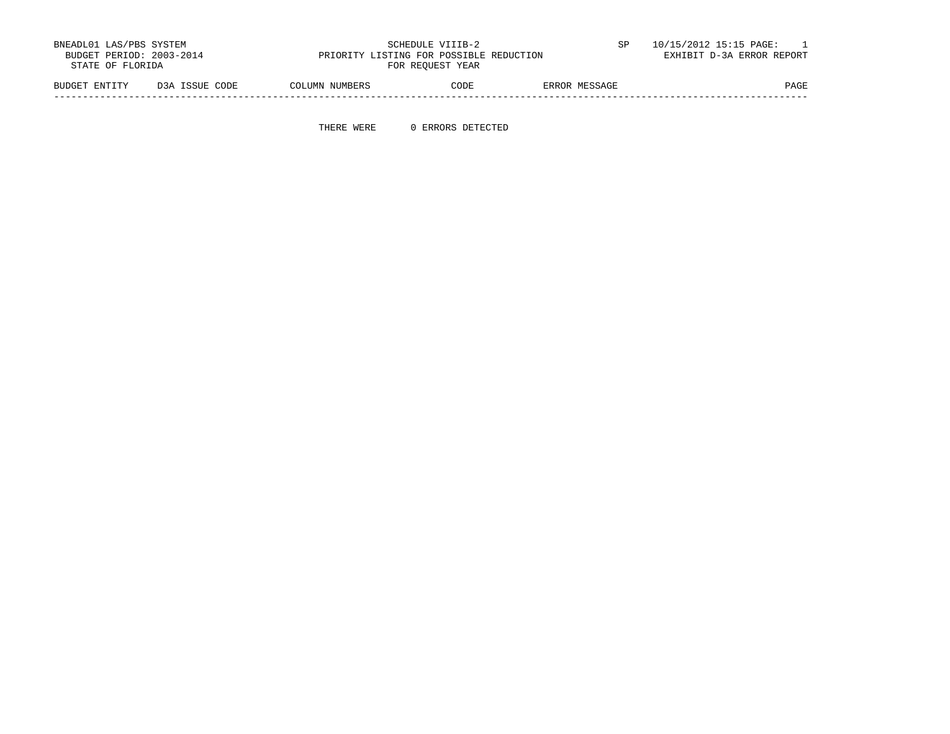| BNEADL01 LAS/PBS SYSTEM<br>BUDGET PERIOD: 2003-2014<br>STATE OF FLORIDA |                | PRIORITY LISTING FOR POSSIBLE REDUCTION | SCHEDULE VIIIB-2<br>FOR REOUEST YEAR |               | 10/15/2012 15:15 PAGE:<br>EXHIBIT D-3A ERROR REPORT |
|-------------------------------------------------------------------------|----------------|-----------------------------------------|--------------------------------------|---------------|-----------------------------------------------------|
| BUDGET ENTITY                                                           | D3A ISSUE CODE | COLUMN NUMBERS                          | CODE                                 | ERROR MESSAGE | PAGE                                                |

-----------------------------------------------------------------------------------------------------------------------------------

THERE WERE 0 ERRORS DETECTED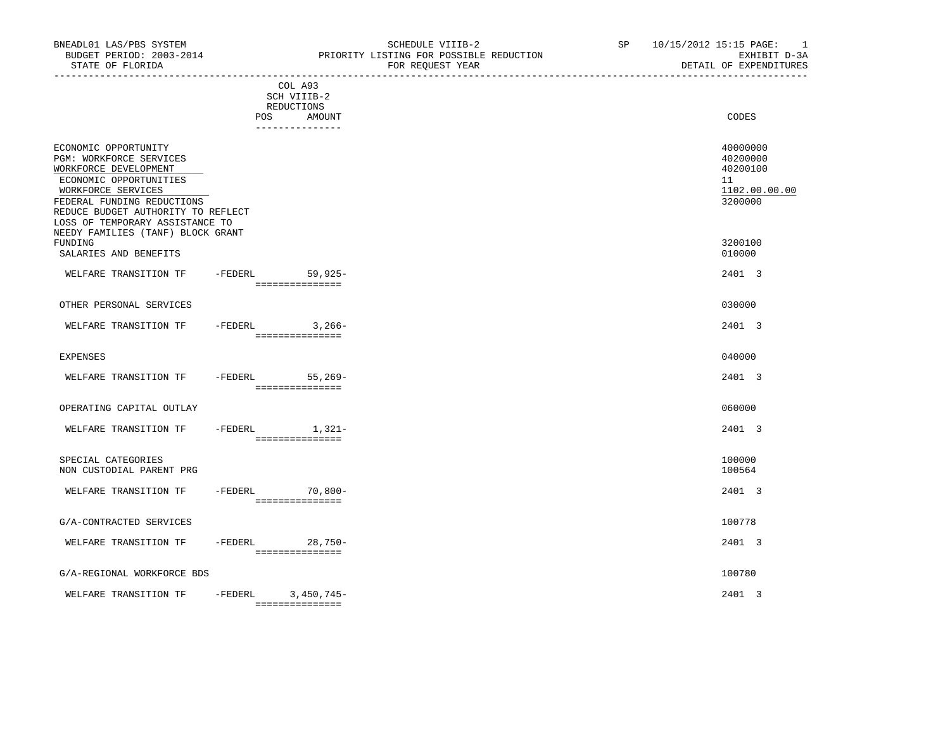| BUDGET PERIOD: 2003-2014<br>STATE OF FLORIDA                                                                                                                                                                                                                                | PRIORITY LISTING FOR POSSIBLE REDUCTION<br>FOR REQUEST YEAR              | EXHIBIT D-3A<br>DETAIL OF EXPENDITURES                             |
|-----------------------------------------------------------------------------------------------------------------------------------------------------------------------------------------------------------------------------------------------------------------------------|--------------------------------------------------------------------------|--------------------------------------------------------------------|
|                                                                                                                                                                                                                                                                             | COL A93<br>SCH VIIIB-2<br>REDUCTIONS<br>POS<br>AMOUNT<br>--------------- | CODES                                                              |
| ECONOMIC OPPORTUNITY<br><b>PGM: WORKFORCE SERVICES</b><br>WORKFORCE DEVELOPMENT<br>ECONOMIC OPPORTUNITIES<br>WORKFORCE SERVICES<br>FEDERAL FUNDING REDUCTIONS<br>REDUCE BUDGET AUTHORITY TO REFLECT<br>LOSS OF TEMPORARY ASSISTANCE TO<br>NEEDY FAMILIES (TANF) BLOCK GRANT |                                                                          | 40000000<br>40200000<br>40200100<br>11<br>1102.00.00.00<br>3200000 |
| FUNDING<br>SALARIES AND BENEFITS                                                                                                                                                                                                                                            |                                                                          | 3200100<br>010000                                                  |
| WELFARE TRANSITION TF                                                                                                                                                                                                                                                       | -FEDERL 59,925-<br>________________                                      | 2401 3                                                             |
| OTHER PERSONAL SERVICES                                                                                                                                                                                                                                                     |                                                                          | 030000                                                             |
| WELFARE TRANSITION TF -FEDERL 3,266-                                                                                                                                                                                                                                        | ----------------                                                         | 2401 3                                                             |
| EXPENSES                                                                                                                                                                                                                                                                    |                                                                          | 040000                                                             |
| WELFARE TRANSITION TF - FEDERL 55,269-                                                                                                                                                                                                                                      | ================                                                         | 2401 3                                                             |
| OPERATING CAPITAL OUTLAY                                                                                                                                                                                                                                                    |                                                                          | 060000                                                             |
| WELFARE TRANSITION TF                                                                                                                                                                                                                                                       | $-FEDERL$ 1, 321-<br>===============                                     | 2401 3                                                             |
| SPECIAL CATEGORIES<br>NON CUSTODIAL PARENT PRG                                                                                                                                                                                                                              |                                                                          | 100000<br>100564                                                   |
| WELFARE TRANSITION TF -FEDERL 70,800-                                                                                                                                                                                                                                       | ===============                                                          | 2401 3                                                             |
| G/A-CONTRACTED SERVICES                                                                                                                                                                                                                                                     |                                                                          | 100778                                                             |

WELFARE TRANSITION TF  $-$ FEDERL 28,750-<br>
28,750-

## G/A-REGIONAL WORKFORCE BDS 100780

| TRANSI<br>WEL'<br>$m$ r<br>ותר ־<br>'ARF<br>. | FEDERL | 4 <sub>h</sub><br>,<br>$\mathbf{u}$  | 2401 |
|-----------------------------------------------|--------|--------------------------------------|------|
|                                               |        | ________________<br>________________ |      |

===============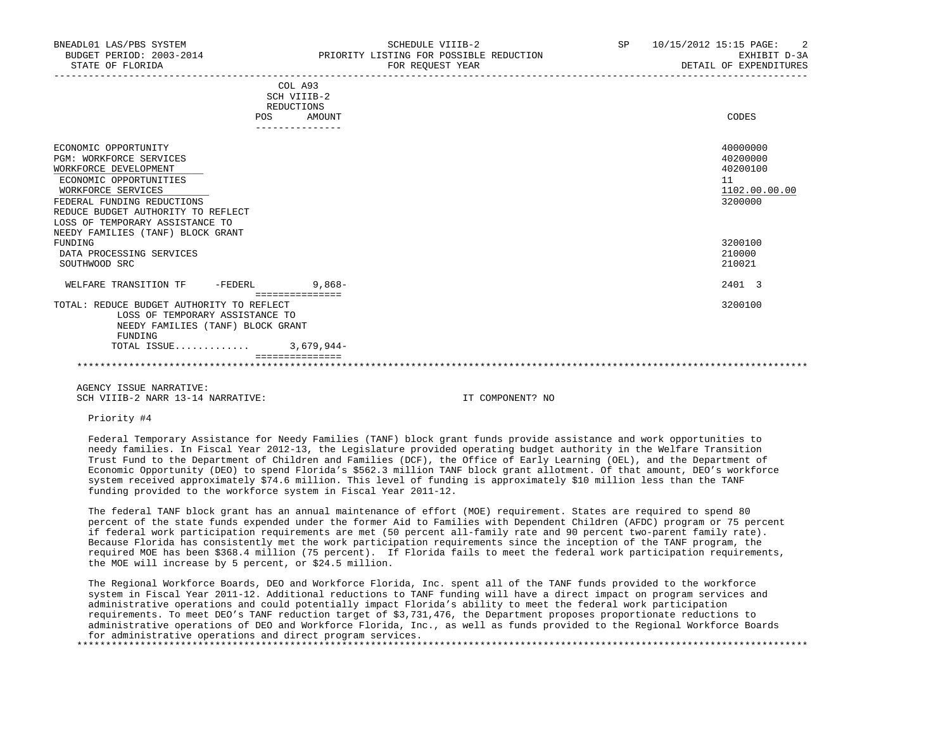| ECONOMIC OPPORTUNITY                      |         |               | 40000000      |
|-------------------------------------------|---------|---------------|---------------|
| <b>PGM: WORKFORCE SERVICES</b>            |         |               | 40200000      |
| WORKFORCE DEVELOPMENT                     |         |               | 40200100      |
| ECONOMIC OPPORTUNITIES                    |         |               | 11            |
| WORKFORCE SERVICES                        |         |               | 1102.00.00.00 |
| FEDERAL FUNDING REDUCTIONS                |         |               | 3200000       |
| REDUCE BUDGET AUTHORITY TO REFLECT        |         |               |               |
| LOSS OF TEMPORARY ASSISTANCE TO           |         |               |               |
| NEEDY FAMILIES (TANF) BLOCK GRANT         |         |               |               |
| FUNDING                                   |         |               | 3200100       |
| DATA PROCESSING SERVICES                  |         |               | 210000        |
| SOUTHWOOD SRC                             |         |               | 210021        |
| WELFARE TRANSITION TF                     | -FEDERL | $9,868-$      | 2401 3        |
|                                           |         | ============= |               |
| TOTAL: REDUCE BUDGET AUTHORITY TO REFLECT |         |               | 3200100       |
| LOSS OF TEMPORARY ASSISTANCE TO           |         |               |               |
| NEEDY FAMILIES (TANF) BLOCK GRANT         |         |               |               |
| FUNDING                                   |         |               |               |
| TOTAL ISSUE                               |         | $3,679,944-$  |               |
|                                           |         |               |               |

 AGENCY ISSUE NARRATIVE: SCH VIIIB-2 NARR 13-14 NARRATIVE: IT COMPONENT? NO

Priority #4

 Federal Temporary Assistance for Needy Families (TANF) block grant funds provide assistance and work opportunities to needy families. In Fiscal Year 2012-13, the Legislature provided operating budget authority in the Welfare Transition Trust Fund to the Department of Children and Families (DCF), the Office of Early Learning (OEL), and the Department of Economic Opportunity (DEO) to spend Florida's \$562.3 million TANF block grant allotment. Of that amount, DEO's workforce system received approximately \$74.6 million. This level of funding is approximately \$10 million less than the TANF funding provided to the workforce system in Fiscal Year 2011-12.

\*\*\*\*\*\*\*\*\*\*\*\*\*\*\*\*\*\*\*\*\*\*\*\*\*\*\*\*\*\*\*\*\*\*\*\*\*\*\*\*\*\*\*\*\*\*\*\*\*\*\*\*\*\*\*\*\*\*\*\*\*\*\*\*\*\*\*\*\*\*\*\*\*\*\*\*\*\*\*\*\*\*\*\*\*\*\*\*\*\*\*\*\*\*\*\*\*\*\*\*\*\*\*\*\*\*\*\*\*\*\*\*\*\*\*\*\*\*\*\*\*\*\*\*\*\*\*

 The federal TANF block grant has an annual maintenance of effort (MOE) requirement. States are required to spend 80 percent of the state funds expended under the former Aid to Families with Dependent Children (AFDC) program or 75 percent if federal work participation requirements are met (50 percent all-family rate and 90 percent two-parent family rate). Because Florida has consistently met the work participation requirements since the inception of the TANF program, the required MOE has been \$368.4 million (75 percent). If Florida fails to meet the federal work participation requirements, the MOE will increase by 5 percent, or \$24.5 million.

 The Regional Workforce Boards, DEO and Workforce Florida, Inc. spent all of the TANF funds provided to the workforce system in Fiscal Year 2011-12. Additional reductions to TANF funding will have a direct impact on program services and administrative operations and could potentially impact Florida's ability to meet the federal work participation requirements. To meet DEO's TANF reduction target of \$3,731,476, the Department proposes proportionate reductions to administrative operations of DEO and Workforce Florida, Inc., as well as funds provided to the Regional Workforce Boards for administrative operations and direct program services. \*\*\*\*\*\*\*\*\*\*\*\*\*\*\*\*\*\*\*\*\*\*\*\*\*\*\*\*\*\*\*\*\*\*\*\*\*\*\*\*\*\*\*\*\*\*\*\*\*\*\*\*\*\*\*\*\*\*\*\*\*\*\*\*\*\*\*\*\*\*\*\*\*\*\*\*\*\*\*\*\*\*\*\*\*\*\*\*\*\*\*\*\*\*\*\*\*\*\*\*\*\*\*\*\*\*\*\*\*\*\*\*\*\*\*\*\*\*\*\*\*\*\*\*\*\*\*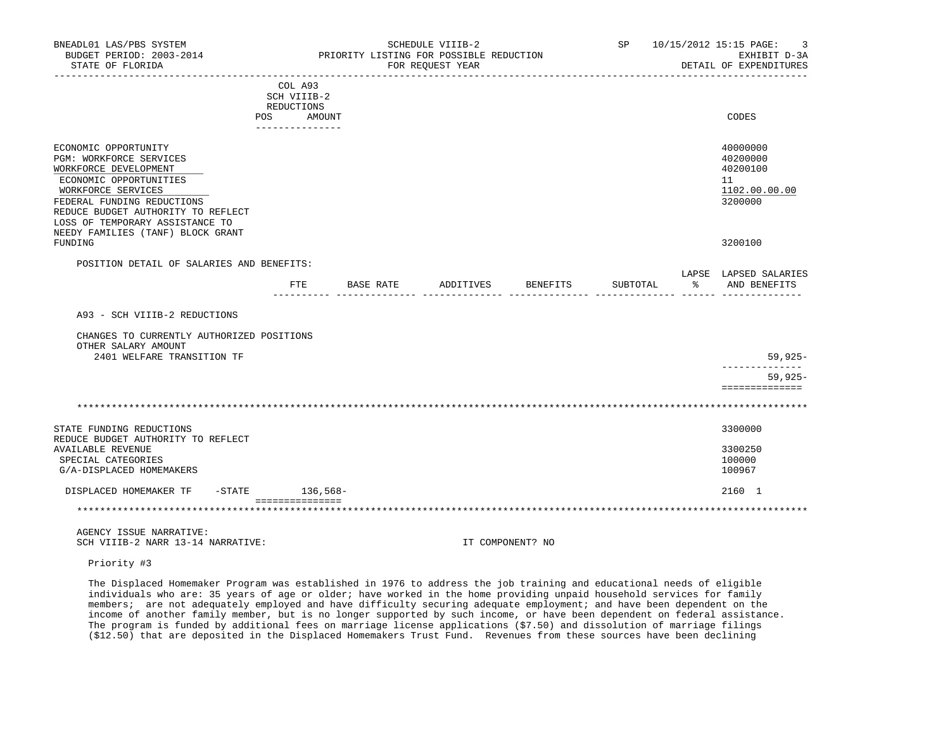| BNEADL01 LAS/PBS SYSTEM<br>BUDGET PERIOD: 2003-2014<br>STATE OF FLORIDA                                                                                                                                                         |                                                    | SCHEDULE VIIIB-2<br>PRIORITY LISTING FOR POSSIBLE REDUCTION<br>FOR REOUEST YEAR |           | SP 10/15/2012 15:15 PAGE:<br>EXHIBIT D-3A<br>DETAIL OF EXPENDITURES |          |                                                                    |
|---------------------------------------------------------------------------------------------------------------------------------------------------------------------------------------------------------------------------------|----------------------------------------------------|---------------------------------------------------------------------------------|-----------|---------------------------------------------------------------------|----------|--------------------------------------------------------------------|
|                                                                                                                                                                                                                                 | COL A93<br>SCH VIIIB-2<br>REDUCTIONS<br>POS AMOUNT |                                                                                 |           |                                                                     |          | CODES                                                              |
|                                                                                                                                                                                                                                 | ----------------                                   |                                                                                 |           |                                                                     |          |                                                                    |
| ECONOMIC OPPORTUNITY<br>PGM: WORKFORCE SERVICES<br>WORKFORCE DEVELOPMENT<br>ECONOMIC OPPORTUNITIES<br>WORKFORCE SERVICES<br>FEDERAL FUNDING REDUCTIONS<br>REDUCE BUDGET AUTHORITY TO REFLECT<br>LOSS OF TEMPORARY ASSISTANCE TO |                                                    |                                                                                 |           |                                                                     |          | 40000000<br>40200000<br>40200100<br>11<br>1102.00.00.00<br>3200000 |
| NEEDY FAMILIES (TANF) BLOCK GRANT<br>FUNDING                                                                                                                                                                                    |                                                    |                                                                                 |           |                                                                     |          | 3200100                                                            |
| POSITION DETAIL OF SALARIES AND BENEFITS:                                                                                                                                                                                       |                                                    |                                                                                 |           |                                                                     |          |                                                                    |
|                                                                                                                                                                                                                                 | FTE                                                | BASE RATE                                                                       | ADDITIVES | BENEFITS                                                            | SUBTOTAL | LAPSE LAPSED SALARIES<br>- 20년<br>AND BENEFITS                     |
| A93 - SCH VIIIB-2 REDUCTIONS                                                                                                                                                                                                    |                                                    |                                                                                 |           |                                                                     |          |                                                                    |
| CHANGES TO CURRENTLY AUTHORIZED POSITIONS<br>OTHER SALARY AMOUNT                                                                                                                                                                |                                                    |                                                                                 |           |                                                                     |          |                                                                    |
| 2401 WELFARE TRANSITION TF                                                                                                                                                                                                      |                                                    |                                                                                 |           |                                                                     |          | 59,925-<br>-----------                                             |
|                                                                                                                                                                                                                                 |                                                    |                                                                                 |           |                                                                     |          | $59,925-$<br>==============                                        |
|                                                                                                                                                                                                                                 |                                                    |                                                                                 |           |                                                                     |          |                                                                    |
| STATE FUNDING REDUCTIONS<br>REDUCE BUDGET AUTHORITY TO REFLECT                                                                                                                                                                  |                                                    |                                                                                 |           |                                                                     |          | 3300000                                                            |
| <b>AVAILABLE REVENUE</b><br>SPECIAL CATEGORIES                                                                                                                                                                                  |                                                    |                                                                                 |           |                                                                     |          | 3300250<br>100000                                                  |
| G/A-DISPLACED HOMEMAKERS                                                                                                                                                                                                        |                                                    |                                                                                 |           |                                                                     |          | 100967                                                             |
| DISPLACED HOMEMAKER TF -STATE 136,568-                                                                                                                                                                                          |                                                    |                                                                                 |           |                                                                     |          | 2160 1                                                             |
|                                                                                                                                                                                                                                 | ===============                                    |                                                                                 |           |                                                                     |          |                                                                    |
| AGENCY ISSUE NARRATIVE:<br>SCH VIIIB-2 NARR 13-14 NARRATIVE:                                                                                                                                                                    |                                                    |                                                                                 |           | IT COMPONENT? NO                                                    |          |                                                                    |

Priority #3

 The Displaced Homemaker Program was established in 1976 to address the job training and educational needs of eligible individuals who are: 35 years of age or older; have worked in the home providing unpaid household services for family members; are not adequately employed and have difficulty securing adequate employment; and have been dependent on the income of another family member, but is no longer supported by such income, or have been dependent on federal assistance. The program is funded by additional fees on marriage license applications (\$7.50) and dissolution of marriage filings (\$12.50) that are deposited in the Displaced Homemakers Trust Fund. Revenues from these sources have been declining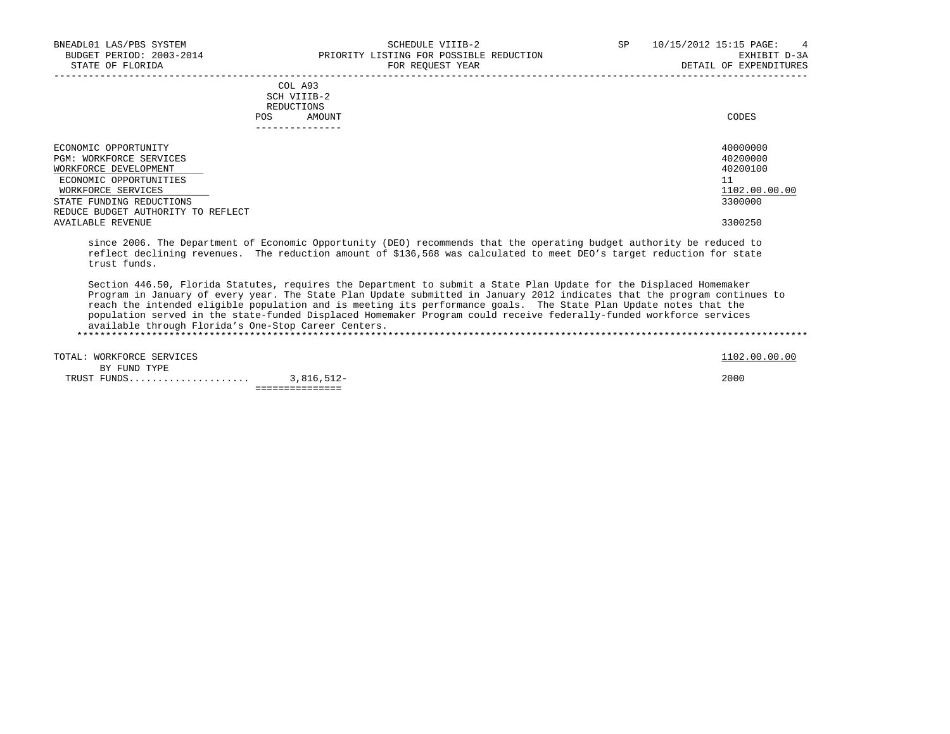|                      |     | COL A93         |          |
|----------------------|-----|-----------------|----------|
|                      |     | SCH VIIIB-2     |          |
|                      |     | REDUCTIONS      |          |
|                      | POS | AMOUNT          | CODES    |
|                      |     | --------------- |          |
| ECONOMIC OPPORTUNITY |     |                 | 40000000 |
|                      |     |                 |          |

| ECONOMIC OPPORTUNITY               | 40000000      |
|------------------------------------|---------------|
| PGM: WORKFORCE SERVICES            | 40200000      |
| WORKFORCE DEVELOPMENT              | 40200100      |
| ECONOMIC OPPORTUNITIES             | ᆂᆂ            |
| WORKFORCE SERVICES                 | 1102.00.00.00 |
| STATE FUNDING REDUCTIONS           | 3300000       |
| REDUCE BUDGET AUTHORITY TO REFLECT |               |
| AVAILABLE REVENUE                  | 3300250       |

 since 2006. The Department of Economic Opportunity (DEO) recommends that the operating budget authority be reduced to reflect declining revenues. The reduction amount of \$136,568 was calculated to meet DEO's target reduction for state trust funds.

 Section 446.50, Florida Statutes, requires the Department to submit a State Plan Update for the Displaced Homemaker Program in January of every year. The State Plan Update submitted in January 2012 indicates that the program continues to reach the intended eligible population and is meeting its performance goals. The State Plan Update notes that the population served in the state-funded Displaced Homemaker Program could receive federally-funded workforce services available through Florida's One-Stop Career Centers.

\*\*\*\*\*\*\*\*\*\*\*\*\*\*\*\*\*\*\*\*\*\*\*\*\*\*\*\*\*\*\*\*\*\*\*\*\*\*\*\*\*\*\*\*\*\*\*\*\*\*\*\*\*\*\*\*\*\*\*\*\*\*\*\*\*\*\*\*\*\*\*\*\*\*\*\*\*\*\*\*\*\*\*\*\*\*\*\*\*\*\*\*\*\*\*\*\*\*\*\*\*\*\*\*\*\*\*\*\*\*\*\*\*\*\*\*\*\*\*\*\*\*\*\*\*\*\*

TOTAL: WORKFORCE SERVICES 1102.00.00 PORT 200.00 COLLECT 1102.00.00 COLLECT 1102.00.00 COLLECT 1102.00 COLLECT BY FUND TYPE TRUST FUNDS..................... 3,816,512- 2000 ===============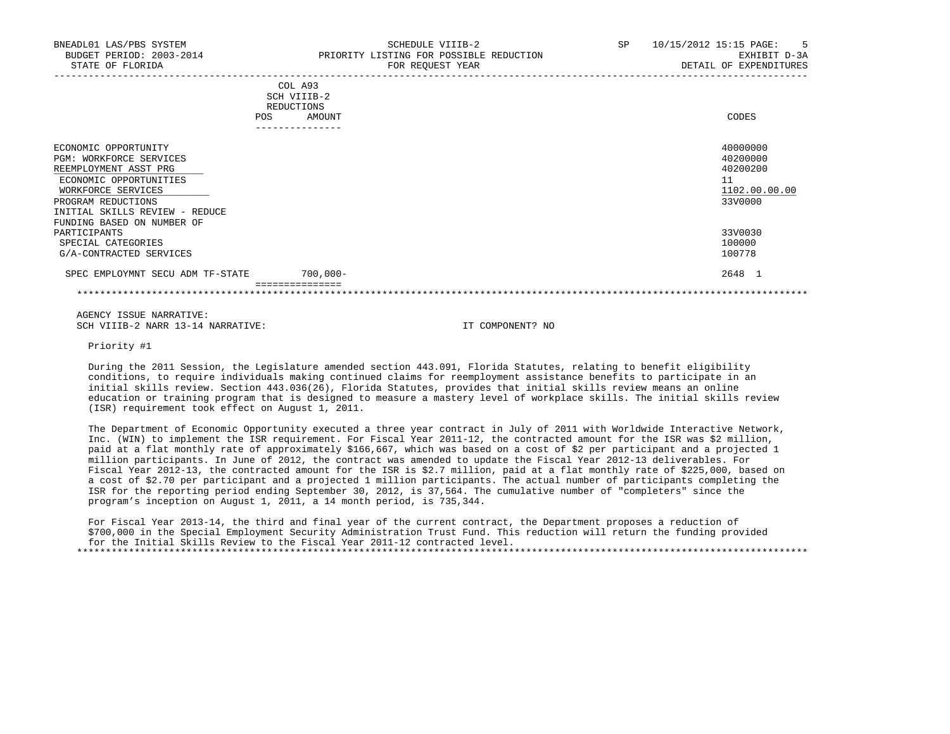| <b>POS</b>                                                                                                                                                                                                     | COL A93<br>SCH VIIIB-2<br>REDUCTIONS<br>AMOUNT<br>______________ | CODES                                                              |
|----------------------------------------------------------------------------------------------------------------------------------------------------------------------------------------------------------------|------------------------------------------------------------------|--------------------------------------------------------------------|
| ECONOMIC OPPORTUNITY<br>PGM: WORKFORCE SERVICES<br>REEMPLOYMENT ASST PRG<br>ECONOMIC OPPORTUNITIES<br>WORKFORCE SERVICES<br>PROGRAM REDUCTIONS<br>INITIAL SKILLS REVIEW - REDUCE<br>FUNDING BASED ON NUMBER OF |                                                                  | 40000000<br>40200000<br>40200200<br>11<br>1102.00.00.00<br>33V0000 |
| PARTICIPANTS<br>SPECIAL CATEGORIES<br>G/A-CONTRACTED SERVICES                                                                                                                                                  |                                                                  | 33V0030<br>100000<br>100778                                        |
| SPEC EMPLOYMNT SECU ADM TF-STATE                                                                                                                                                                               | $700,000 -$                                                      | 2648 1                                                             |

 AGENCY ISSUE NARRATIVE: SCH VIIIB-2 NARR 13-14 NARRATIVE: IT COMPONENT? NO

Priority #1

 During the 2011 Session, the Legislature amended section 443.091, Florida Statutes, relating to benefit eligibility conditions, to require individuals making continued claims for reemployment assistance benefits to participate in an initial skills review. Section 443.036(26), Florida Statutes, provides that initial skills review means an online education or training program that is designed to measure a mastery level of workplace skills. The initial skills review (ISR) requirement took effect on August 1, 2011.

 The Department of Economic Opportunity executed a three year contract in July of 2011 with Worldwide Interactive Network, Inc. (WIN) to implement the ISR requirement. For Fiscal Year 2011-12, the contracted amount for the ISR was \$2 million, paid at a flat monthly rate of approximately \$166,667, which was based on a cost of \$2 per participant and a projected 1 million participants. In June of 2012, the contract was amended to update the Fiscal Year 2012-13 deliverables. For Fiscal Year 2012-13, the contracted amount for the ISR is \$2.7 million, paid at a flat monthly rate of \$225,000, based on a cost of \$2.70 per participant and a projected 1 million participants. The actual number of participants completing the ISR for the reporting period ending September 30, 2012, is 37,564. The cumulative number of "completers" since the program's inception on August 1, 2011, a 14 month period, is 735,344.

 For Fiscal Year 2013-14, the third and final year of the current contract, the Department proposes a reduction of \$700,000 in the Special Employment Security Administration Trust Fund. This reduction will return the funding provided for the Initial Skills Review to the Fiscal Year 2011-12 contracted level. \*\*\*\*\*\*\*\*\*\*\*\*\*\*\*\*\*\*\*\*\*\*\*\*\*\*\*\*\*\*\*\*\*\*\*\*\*\*\*\*\*\*\*\*\*\*\*\*\*\*\*\*\*\*\*\*\*\*\*\*\*\*\*\*\*\*\*\*\*\*\*\*\*\*\*\*\*\*\*\*\*\*\*\*\*\*\*\*\*\*\*\*\*\*\*\*\*\*\*\*\*\*\*\*\*\*\*\*\*\*\*\*\*\*\*\*\*\*\*\*\*\*\*\*\*\*\*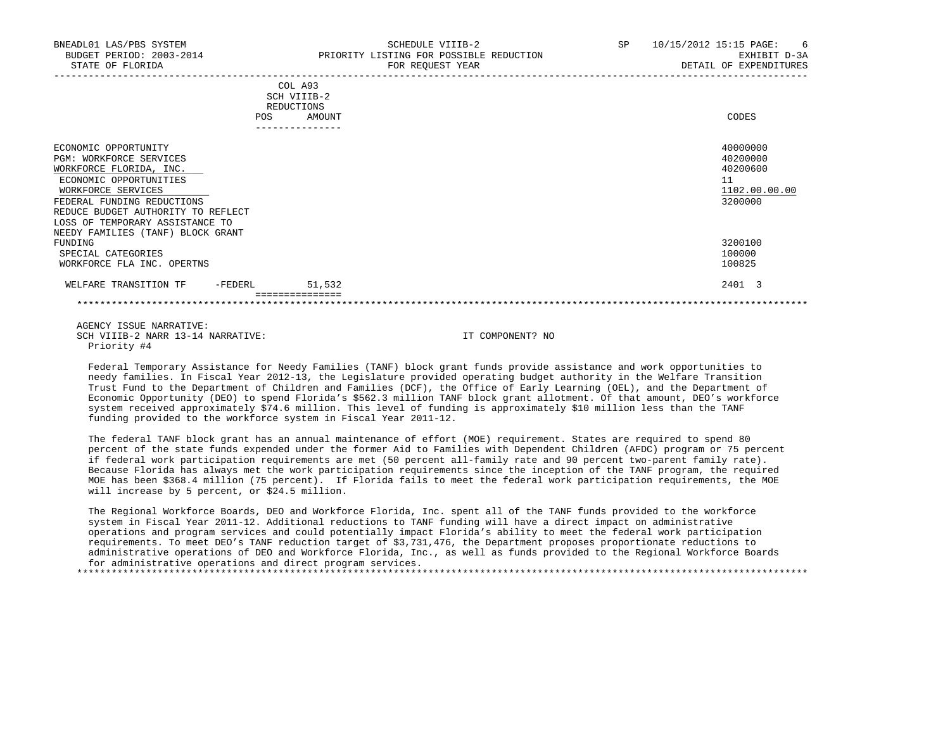| BNEADL01 LAS/PBS SYSTEM<br>BUDGET PERIOD: 2003-2014<br>STATE OF FLORIDA                                                                                                                                                           | SCHEDULE VIIIB-2<br>PRIORITY LISTING FOR POSSIBLE REDUCTION<br>FOR REQUEST YEAR | SP | 10/15/2012 15:15 PAGE:<br>6<br>EXHIBIT D-3A<br>DETAIL OF EXPENDITURES |
|-----------------------------------------------------------------------------------------------------------------------------------------------------------------------------------------------------------------------------------|---------------------------------------------------------------------------------|----|-----------------------------------------------------------------------|
|                                                                                                                                                                                                                                   | COL A93<br>SCH VIIIB-2<br>REDUCTIONS<br>POS<br>AMOUNT                           |    | CODES                                                                 |
| ECONOMIC OPPORTUNITY<br>PGM: WORKFORCE SERVICES<br>WORKFORCE FLORIDA, INC.<br>ECONOMIC OPPORTUNITIES<br>WORKFORCE SERVICES<br>FEDERAL FUNDING REDUCTIONS<br>REDUCE BUDGET AUTHORITY TO REFLECT<br>LOSS OF TEMPORARY ASSISTANCE TO |                                                                                 |    | 40000000<br>40200000<br>40200600<br>11<br>1102.00.00.00<br>3200000    |
| NEEDY FAMILIES (TANF) BLOCK GRANT<br>FUNDING<br>SPECIAL CATEGORIES<br>WORKFORCE FLA INC. OPERTNS                                                                                                                                  |                                                                                 |    | 3200100<br>100000<br>100825                                           |
| WELFARE TRANSITION TF<br>-FEDERL                                                                                                                                                                                                  | 51,532<br>===============                                                       |    | 2401 3                                                                |

 AGENCY ISSUE NARRATIVE: SCH VIIIB-2 NARR 13-14 NARRATIVE: IT COMPONENT? NO Priority #4

 Federal Temporary Assistance for Needy Families (TANF) block grant funds provide assistance and work opportunities to needy families. In Fiscal Year 2012-13, the Legislature provided operating budget authority in the Welfare Transition Trust Fund to the Department of Children and Families (DCF), the Office of Early Learning (OEL), and the Department of Economic Opportunity (DEO) to spend Florida's \$562.3 million TANF block grant allotment. Of that amount, DEO's workforce system received approximately \$74.6 million. This level of funding is approximately \$10 million less than the TANF funding provided to the workforce system in Fiscal Year 2011-12.

\*\*\*\*\*\*\*\*\*\*\*\*\*\*\*\*\*\*\*\*\*\*\*\*\*\*\*\*\*\*\*\*\*\*\*\*\*\*\*\*\*\*\*\*\*\*\*\*\*\*\*\*\*\*\*\*\*\*\*\*\*\*\*\*\*\*\*\*\*\*\*\*\*\*\*\*\*\*\*\*\*\*\*\*\*\*\*\*\*\*\*\*\*\*\*\*\*\*\*\*\*\*\*\*\*\*\*\*\*\*\*\*\*\*\*\*\*\*\*\*\*\*\*\*\*\*\*

 The federal TANF block grant has an annual maintenance of effort (MOE) requirement. States are required to spend 80 percent of the state funds expended under the former Aid to Families with Dependent Children (AFDC) program or 75 percent if federal work participation requirements are met (50 percent all-family rate and 90 percent two-parent family rate). Because Florida has always met the work participation requirements since the inception of the TANF program, the required MOE has been \$368.4 million (75 percent). If Florida fails to meet the federal work participation requirements, the MOE will increase by 5 percent, or \$24.5 million.

 The Regional Workforce Boards, DEO and Workforce Florida, Inc. spent all of the TANF funds provided to the workforce system in Fiscal Year 2011-12. Additional reductions to TANF funding will have a direct impact on administrative operations and program services and could potentially impact Florida's ability to meet the federal work participation requirements. To meet DEO's TANF reduction target of \$3,731,476, the Department proposes proportionate reductions to administrative operations of DEO and Workforce Florida, Inc., as well as funds provided to the Regional Workforce Boards for administrative operations and direct program services.

\*\*\*\*\*\*\*\*\*\*\*\*\*\*\*\*\*\*\*\*\*\*\*\*\*\*\*\*\*\*\*\*\*\*\*\*\*\*\*\*\*\*\*\*\*\*\*\*\*\*\*\*\*\*\*\*\*\*\*\*\*\*\*\*\*\*\*\*\*\*\*\*\*\*\*\*\*\*\*\*\*\*\*\*\*\*\*\*\*\*\*\*\*\*\*\*\*\*\*\*\*\*\*\*\*\*\*\*\*\*\*\*\*\*\*\*\*\*\*\*\*\*\*\*\*\*\*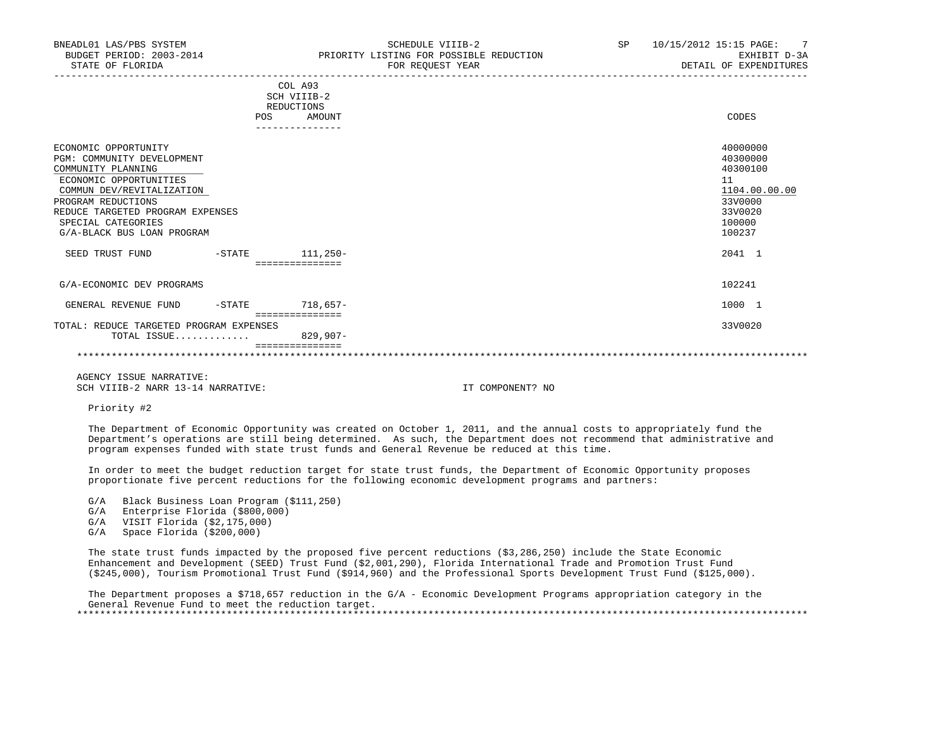| BNEADL01 LAS/PBS SYSTEM<br>STATE OF FLORIDA                                                                                                                                                                                                   |           | SCHEDULE VIIIB-2<br>BUDGET PERIOD: 2003-2014 PRIORITY LISTING FOR POSSIBLE REDUCTION<br>FOR REQUEST YEAR | SP and the set of the set of the set of the set of the set of the set of the set of the set of the set of the set of the set of the set of the set of the set of the set of the set of the set of the set of the set of the se | 10/15/2012 15:15 PAGE: 7<br>EXHIBIT D-3A<br>DETAIL OF EXPENDITURES                                |
|-----------------------------------------------------------------------------------------------------------------------------------------------------------------------------------------------------------------------------------------------|-----------|----------------------------------------------------------------------------------------------------------|--------------------------------------------------------------------------------------------------------------------------------------------------------------------------------------------------------------------------------|---------------------------------------------------------------------------------------------------|
|                                                                                                                                                                                                                                               |           | COL A93<br>SCH VIIIB-2<br>REDUCTIONS<br>POS AMOUNT<br>---------------                                    |                                                                                                                                                                                                                                | CODES                                                                                             |
| ECONOMIC OPPORTUNITY<br>PGM: COMMUNITY DEVELOPMENT<br>COMMUNITY PLANNING<br>ECONOMIC OPPORTUNITIES<br>COMMUN DEV/REVITALIZATION<br>PROGRAM REDUCTIONS<br>REDUCE TARGETED PROGRAM EXPENSES<br>SPECIAL CATEGORIES<br>G/A-BLACK BUS LOAN PROGRAM |           |                                                                                                          |                                                                                                                                                                                                                                | 40000000<br>40300000<br>40300100<br>11<br>1104.00.00.00<br>33V0000<br>33V0020<br>100000<br>100237 |
| SEED TRUST FUND -STATE                                                                                                                                                                                                                        |           | $111,250-$<br>===============                                                                            |                                                                                                                                                                                                                                | 2041 1                                                                                            |
| G/A-ECONOMIC DEV PROGRAMS                                                                                                                                                                                                                     |           |                                                                                                          |                                                                                                                                                                                                                                | 102241                                                                                            |
| GENERAL REVENUE FUND                                                                                                                                                                                                                          | $-$ STATE | $718.657-$<br>===============                                                                            |                                                                                                                                                                                                                                | 1000 1                                                                                            |

 TOTAL: REDUCE TARGETED PROGRAM EXPENSES 33V0020 TOTAL ISSUE.............

## =============== \*\*\*\*\*\*\*\*\*\*\*\*\*\*\*\*\*\*\*\*\*\*\*\*\*\*\*\*\*\*\*\*\*\*\*\*\*\*\*\*\*\*\*\*\*\*\*\*\*\*\*\*\*\*\*\*\*\*\*\*\*\*\*\*\*\*\*\*\*\*\*\*\*\*\*\*\*\*\*\*\*\*\*\*\*\*\*\*\*\*\*\*\*\*\*\*\*\*\*\*\*\*\*\*\*\*\*\*\*\*\*\*\*\*\*\*\*\*\*\*\*\*\*\*\*\*\*

 AGENCY ISSUE NARRATIVE: SCH VIIIB-2 NARR 13-14 NARRATIVE: IT COMPONENT? NO

Priority #2

 The Department of Economic Opportunity was created on October 1, 2011, and the annual costs to appropriately fund the Department's operations are still being determined. As such, the Department does not recommend that administrative and program expenses funded with state trust funds and General Revenue be reduced at this time.

 In order to meet the budget reduction target for state trust funds, the Department of Economic Opportunity proposes proportionate five percent reductions for the following economic development programs and partners:

- G/A Black Business Loan Program (\$111,250)
- G/A Enterprise Florida (\$800,000)
- G/A VISIT Florida (\$2,175,000)
- G/A Space Florida (\$200,000)

 The state trust funds impacted by the proposed five percent reductions (\$3,286,250) include the State Economic Enhancement and Development (SEED) Trust Fund (\$2,001,290), Florida International Trade and Promotion Trust Fund (\$245,000), Tourism Promotional Trust Fund (\$914,960) and the Professional Sports Development Trust Fund (\$125,000).

 The Department proposes a \$718,657 reduction in the G/A - Economic Development Programs appropriation category in the General Revenue Fund to meet the reduction target. \*\*\*\*\*\*\*\*\*\*\*\*\*\*\*\*\*\*\*\*\*\*\*\*\*\*\*\*\*\*\*\*\*\*\*\*\*\*\*\*\*\*\*\*\*\*\*\*\*\*\*\*\*\*\*\*\*\*\*\*\*\*\*\*\*\*\*\*\*\*\*\*\*\*\*\*\*\*\*\*\*\*\*\*\*\*\*\*\*\*\*\*\*\*\*\*\*\*\*\*\*\*\*\*\*\*\*\*\*\*\*\*\*\*\*\*\*\*\*\*\*\*\*\*\*\*\*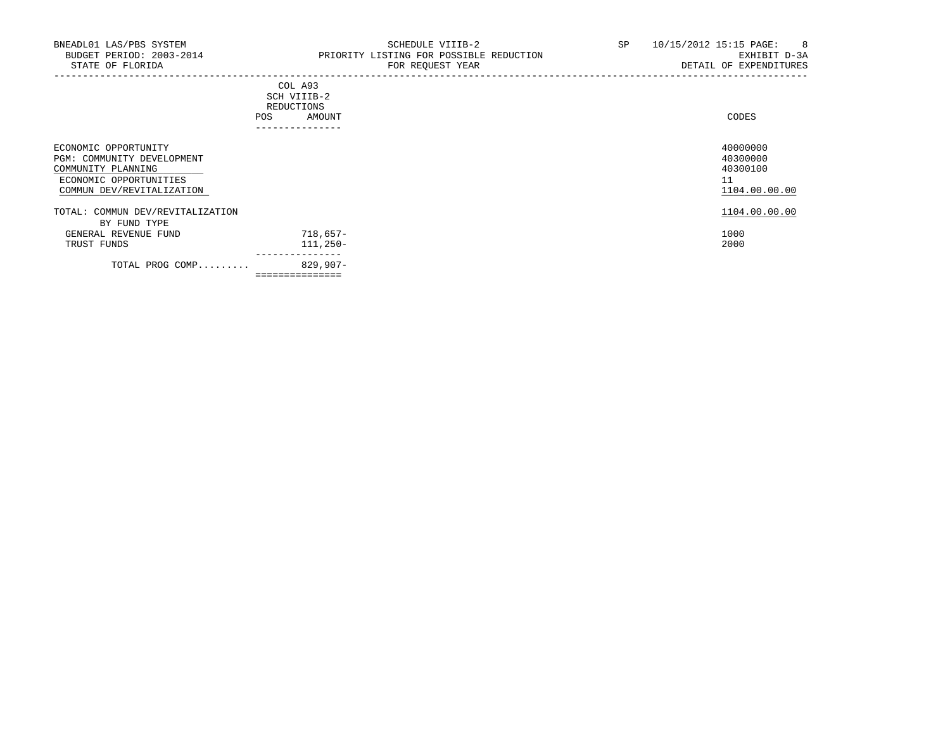|                                                                                                                                 | COL A93<br>SCH VIIIB-2<br>REDUCTIONS<br>AMOUNT<br>POS | CODES                                                   |
|---------------------------------------------------------------------------------------------------------------------------------|-------------------------------------------------------|---------------------------------------------------------|
|                                                                                                                                 | ----------------                                      |                                                         |
| ECONOMIC OPPORTUNITY<br>PGM: COMMUNITY DEVELOPMENT<br>COMMUNITY PLANNING<br>ECONOMIC OPPORTUNITIES<br>COMMUN DEV/REVITALIZATION |                                                       | 40000000<br>40300000<br>40300100<br>11<br>1104.00.00.00 |
| TOTAL: COMMUN DEV/REVITALIZATION                                                                                                |                                                       | 1104.00.00.00                                           |
| BY FUND TYPE                                                                                                                    |                                                       |                                                         |
| GENERAL REVENUE FUND                                                                                                            | $718,657-$                                            | 1000                                                    |
| TRUST FUNDS                                                                                                                     | $111,250-$                                            | 2000                                                    |
| TOTAL PROG COMP                                                                                                                 | ----------------<br>829,907-                          |                                                         |
|                                                                                                                                 | ===============                                       |                                                         |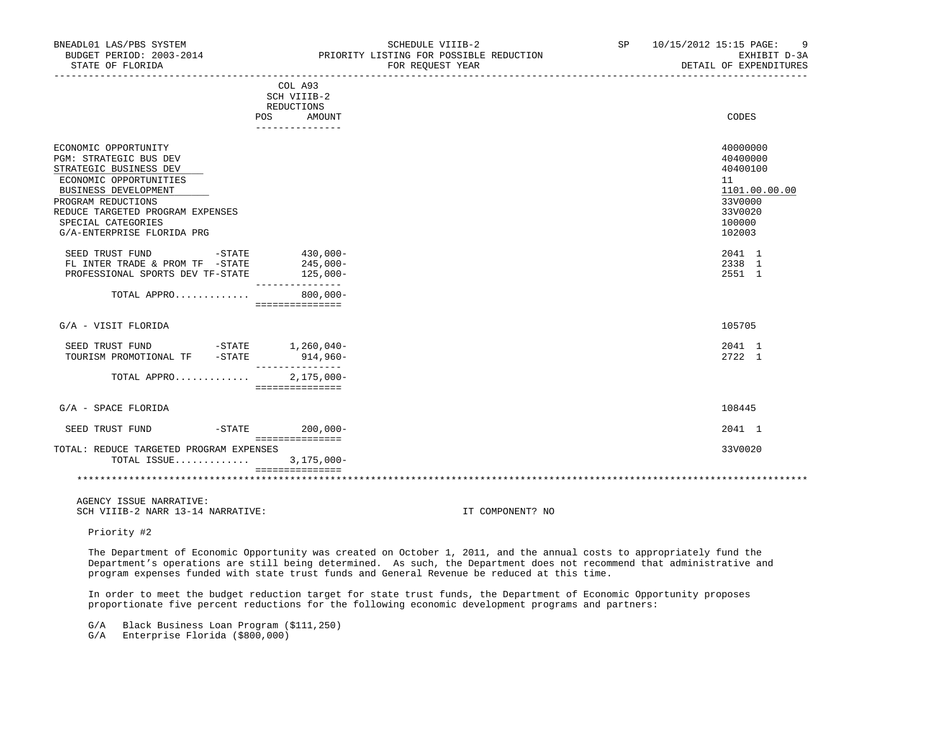| BNEADL01 LAS/PBS SYSTEM<br>BUDGET PERIOD: 2003-2014<br>STATE OF FLORIDA                                                                                                                                                                         | SCHEDULE VIIIB-2<br>PRIORITY LISTING FOR POSSIBLE REDUCTION<br>FOR REQUEST YEAR | 10/15/2012 15:15 PAGE:<br>-9<br>SP and the set of the set of the set of the set of the set of the set of the set of the set of the set of the set of the set of the set of the set of the set of the set of the set of the set of the set of the set of the se<br>EXHIBIT D-3A<br>DETAIL OF EXPENDITURES |
|-------------------------------------------------------------------------------------------------------------------------------------------------------------------------------------------------------------------------------------------------|---------------------------------------------------------------------------------|----------------------------------------------------------------------------------------------------------------------------------------------------------------------------------------------------------------------------------------------------------------------------------------------------------|
|                                                                                                                                                                                                                                                 | COL A93<br>SCH VIIIB-2<br>REDUCTIONS<br>POS<br>AMOUNT<br>---------------        | CODES                                                                                                                                                                                                                                                                                                    |
| ECONOMIC OPPORTUNITY<br>PGM: STRATEGIC BUS DEV<br>STRATEGIC BUSINESS DEV<br>ECONOMIC OPPORTUNITIES<br><b>BUSINESS DEVELOPMENT</b><br>PROGRAM REDUCTIONS<br>REDUCE TARGETED PROGRAM EXPENSES<br>SPECIAL CATEGORIES<br>G/A-ENTERPRISE FLORIDA PRG |                                                                                 | 40000000<br>40400000<br>40400100<br>11<br>1101.00.00.00<br>33V0000<br>33V0020<br>100000<br>102003                                                                                                                                                                                                        |
| $-STATE$<br>SEED TRUST FUND<br>FL INTER TRADE & PROM TF -STATE<br>PROFESSIONAL SPORTS DEV TF-STATE                                                                                                                                              | $430,000 -$<br>245,000-<br>125,000-<br>---------------                          | 2041 1<br>2338 1<br>2551 1                                                                                                                                                                                                                                                                               |
| TOTAL APPRO 800,000-                                                                                                                                                                                                                            | ===============                                                                 |                                                                                                                                                                                                                                                                                                          |
| G/A - VISIT FLORIDA                                                                                                                                                                                                                             |                                                                                 | 105705                                                                                                                                                                                                                                                                                                   |
| SEED TRUST FUND -STATE 1,260,040-<br>TOURISM PROMOTIONAL TF -STATE                                                                                                                                                                              | $914,960-$<br>_______________                                                   | 2041 1<br>2722 1                                                                                                                                                                                                                                                                                         |
| TOTAL APPRO                                                                                                                                                                                                                                     | $2,175,000-$<br>===============                                                 |                                                                                                                                                                                                                                                                                                          |
| G/A - SPACE FLORIDA                                                                                                                                                                                                                             |                                                                                 | 108445                                                                                                                                                                                                                                                                                                   |
| SEED TRUST FUND                                                                                                                                                                                                                                 | $-$ STATE 200,000 -<br>===============                                          | 2041 1                                                                                                                                                                                                                                                                                                   |
| TOTAL: REDUCE TARGETED PROGRAM EXPENSES<br>TOTAL ISSUE                                                                                                                                                                                          | $3,175,000-$<br>================                                                | 33V0020                                                                                                                                                                                                                                                                                                  |
|                                                                                                                                                                                                                                                 |                                                                                 |                                                                                                                                                                                                                                                                                                          |

 AGENCY ISSUE NARRATIVE: SCH VIIIB-2 NARR 13-14 NARRATIVE: IT COMPONENT? NO

Priority #2

 The Department of Economic Opportunity was created on October 1, 2011, and the annual costs to appropriately fund the Department's operations are still being determined. As such, the Department does not recommend that administrative and program expenses funded with state trust funds and General Revenue be reduced at this time.

 In order to meet the budget reduction target for state trust funds, the Department of Economic Opportunity proposes proportionate five percent reductions for the following economic development programs and partners:

G/A Black Business Loan Program (\$111,250)

G/A Enterprise Florida (\$800,000)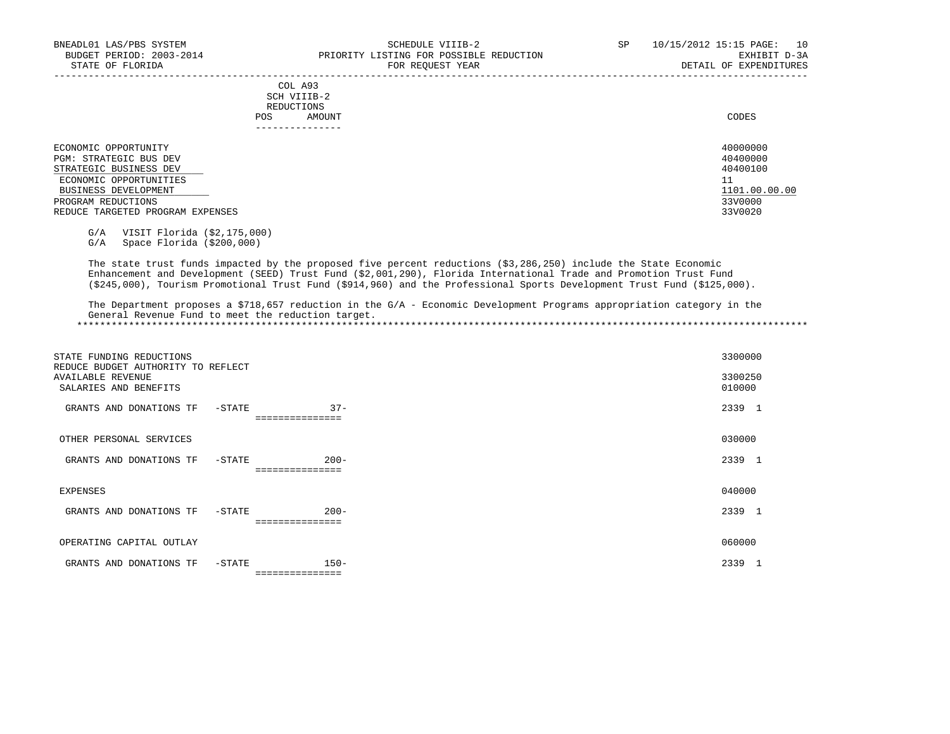|            | COL A93<br>SCH VIIIB-2 |       |
|------------|------------------------|-------|
|            | REDUCTIONS             |       |
| <b>POS</b> | AMOUNT                 | CODES |
|            | ---------------        |       |

 ECONOMIC OPPORTUNITY 40000000 PGM: STRATEGIC BUS DEV 40400000<br>STRATEGIC BUSINESS DEV 40400100  $\frac{\text{STRATEGIC}}{\text{ECONOMIC } \text{OPPORTUNITIES}}$  and the contract of the contract of the contract of the contract of the contract of the contract of the contract of the contract of the contract of the contract of the contract of the contrac ECONOMIC OPPORTUNITIES 11<br>BUSINESS DEVELOPMENT 1101.00.00.00 BUSINESS DEVELOPMENT 1101.00.<br>PROGRAM REDUCTIONS 33V0000 PROGRAM REDUCTIONS 33V0000 33V0000 33V0000 33V0000 33V0000 33V0000 33V0000 33V0000 33V0000 33V0000 33V0000 33V0000 33V0000 33V0000 33V0020 33V0020 33V0020 33V0020 33V0020 33V0020 33V0020 33V0020 33V0020 33V0020 33V0020 33V

G/A VISIT Florida (\$2,175,000)

REDUCE TARGETED PROGRAM EXPENSES

G/A Space Florida (\$200,000)

 The state trust funds impacted by the proposed five percent reductions (\$3,286,250) include the State Economic Enhancement and Development (SEED) Trust Fund (\$2,001,290), Florida International Trade and Promotion Trust Fund (\$245,000), Tourism Promotional Trust Fund (\$914,960) and the Professional Sports Development Trust Fund (\$125,000).

 The Department proposes a \$718,657 reduction in the G/A - Economic Development Programs appropriation category in the General Revenue Fund to meet the reduction target. \*\*\*\*\*\*\*\*\*\*\*\*\*\*\*\*\*\*\*\*\*\*\*\*\*\*\*\*\*\*\*\*\*\*\*\*\*\*\*\*\*\*\*\*\*\*\*\*\*\*\*\*\*\*\*\*\*\*\*\*\*\*\*\*\*\*\*\*\*\*\*\*\*\*\*\*\*\*\*\*\*\*\*\*\*\*\*\*\*\*\*\*\*\*\*\*\*\*\*\*\*\*\*\*\*\*\*\*\*\*\*\*\*\*\*\*\*\*\*\*\*\*\*\*\*\*\*

| STATE FUNDING REDUCTIONS<br>REDUCE BUDGET AUTHORITY TO REFLECT |                 |         | 3300000                |
|----------------------------------------------------------------|-----------------|---------|------------------------|
| <b>AVAILABLE REVENUE</b><br>SALARIES AND BENEFITS              |                 |         | 3300250<br>010000      |
| GRANTS AND DONATIONS TF                                        | $-$ STATE       | $37 -$  | 2339<br>-1             |
|                                                                | =============   |         |                        |
| OTHER PERSONAL SERVICES                                        |                 |         | 030000                 |
| GRANTS AND DONATIONS TF                                        | $-$ STATE       | $200 -$ | 2339                   |
|                                                                | =============== |         |                        |
| EXPENSES                                                       |                 |         | 040000                 |
| GRANTS AND DONATIONS TF                                        | -STATE          | $200 -$ | 2339<br>$\overline{1}$ |
|                                                                | =============   |         |                        |
| OPERATING CAPITAL OUTLAY                                       |                 |         | 060000                 |
| GRANTS AND DONATIONS TF                                        | $-$ STATE       | $150 -$ | 2339<br>-1             |
|                                                                | =============== |         |                        |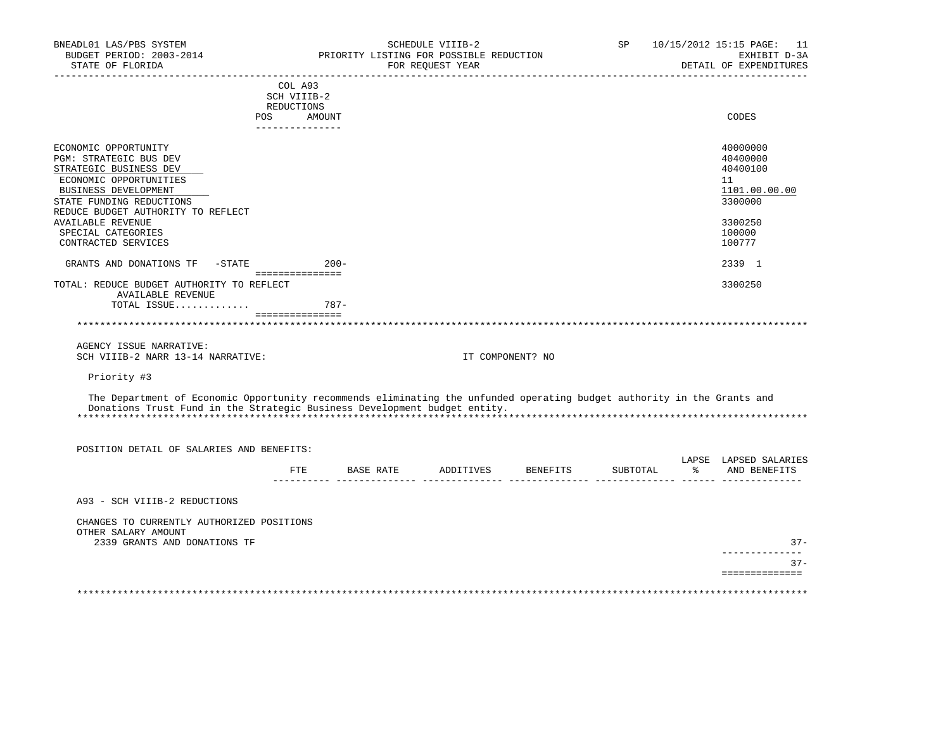| BNEADL01 LAS/PBS SYSTEM<br>BUDGET PERIOD: 2003-2014<br>STATE OF FLORIDA                                                 |        |                   | PRIORITY LISTING FOR POSSIBLE REDUCTION | SCHEDULE VIIIB-2<br>FOR REQUEST YEAR |                  | SP       |    | 10/15/2012 15:15 PAGE: 11<br>EXHIBIT D-3A<br>DETAIL OF EXPENDITURES |
|-------------------------------------------------------------------------------------------------------------------------|--------|-------------------|-----------------------------------------|--------------------------------------|------------------|----------|----|---------------------------------------------------------------------|
|                                                                                                                         |        | COL A93           |                                         |                                      |                  |          |    |                                                                     |
|                                                                                                                         |        | SCH VIIIB-2       |                                         |                                      |                  |          |    |                                                                     |
|                                                                                                                         |        | REDUCTIONS        |                                         |                                      |                  |          |    |                                                                     |
|                                                                                                                         | POS    | AMOUNT            |                                         |                                      |                  |          |    | CODES                                                               |
|                                                                                                                         |        | ---------------   |                                         |                                      |                  |          |    |                                                                     |
| ECONOMIC OPPORTUNITY                                                                                                    |        |                   |                                         |                                      |                  |          |    | 40000000                                                            |
| <b>PGM: STRATEGIC BUS DEV</b>                                                                                           |        |                   |                                         |                                      |                  |          |    | 40400000                                                            |
| STRATEGIC BUSINESS DEV                                                                                                  |        |                   |                                         |                                      |                  |          |    | 40400100                                                            |
| ECONOMIC OPPORTUNITIES                                                                                                  |        |                   |                                         |                                      |                  |          |    | 11                                                                  |
| BUSINESS DEVELOPMENT                                                                                                    |        |                   |                                         |                                      |                  |          |    | 1101.00.00.00                                                       |
| STATE FUNDING REDUCTIONS                                                                                                |        |                   |                                         |                                      |                  |          |    | 3300000                                                             |
| REDUCE BUDGET AUTHORITY TO REFLECT                                                                                      |        |                   |                                         |                                      |                  |          |    |                                                                     |
| <b>AVAILABLE REVENUE</b>                                                                                                |        |                   |                                         |                                      |                  |          |    | 3300250                                                             |
| SPECIAL CATEGORIES                                                                                                      |        |                   |                                         |                                      |                  |          |    | 100000                                                              |
| CONTRACTED SERVICES                                                                                                     |        |                   |                                         |                                      |                  |          |    | 100777                                                              |
| GRANTS AND DONATIONS TF                                                                                                 | -STATE | ===============   | $200 -$                                 |                                      |                  |          |    | 2339 1                                                              |
| TOTAL: REDUCE BUDGET AUTHORITY TO REFLECT                                                                               |        |                   |                                         |                                      |                  |          |    | 3300250                                                             |
| <b>AVAILABLE REVENUE</b>                                                                                                |        |                   |                                         |                                      |                  |          |    |                                                                     |
| TOTAL ISSUE                                                                                                             |        |                   | $787-$                                  |                                      |                  |          |    |                                                                     |
|                                                                                                                         |        | ================  |                                         |                                      |                  |          |    |                                                                     |
| **************************************                                                                                  |        |                   |                                         |                                      |                  |          |    |                                                                     |
| AGENCY ISSUE NARRATIVE:                                                                                                 |        |                   |                                         |                                      |                  |          |    |                                                                     |
| SCH VIIIB-2 NARR 13-14 NARRATIVE:                                                                                       |        |                   |                                         |                                      | IT COMPONENT? NO |          |    |                                                                     |
| Priority #3                                                                                                             |        |                   |                                         |                                      |                  |          |    |                                                                     |
| The Department of Economic Opportunity recommends eliminating the unfunded operating budget authority in the Grants and |        |                   |                                         |                                      |                  |          |    |                                                                     |
| Donations Trust Fund in the Strategic Business Development budget entity.                                               |        |                   |                                         |                                      |                  |          |    |                                                                     |
|                                                                                                                         |        |                   |                                         |                                      |                  |          |    |                                                                     |
| POSITION DETAIL OF SALARIES AND BENEFITS:                                                                               |        |                   |                                         |                                      |                  |          |    |                                                                     |
|                                                                                                                         |        |                   |                                         |                                      |                  |          |    | LAPSE LAPSED SALARIES                                               |
|                                                                                                                         |        | FTE<br>---------- |                                         | BASE RATE ADDITIVES                  | BENEFITS         | SUBTOTAL | ွေ | AND BENEFITS                                                        |
|                                                                                                                         |        |                   |                                         |                                      |                  |          |    |                                                                     |
| A93 - SCH VIIIB-2 REDUCTIONS                                                                                            |        |                   |                                         |                                      |                  |          |    |                                                                     |
| CHANGES TO CURRENTLY AUTHORIZED POSITIONS                                                                               |        |                   |                                         |                                      |                  |          |    |                                                                     |
| OTHER SALARY AMOUNT                                                                                                     |        |                   |                                         |                                      |                  |          |    |                                                                     |
| 2339 GRANTS AND DONATIONS TF                                                                                            |        |                   |                                         |                                      |                  |          |    | $37 -$                                                              |
|                                                                                                                         |        |                   |                                         |                                      |                  |          |    | -----------                                                         |
|                                                                                                                         |        |                   |                                         |                                      |                  |          |    | $37 -$                                                              |
|                                                                                                                         |        |                   |                                         |                                      |                  |          |    | ==============                                                      |
|                                                                                                                         |        |                   |                                         |                                      |                  |          |    |                                                                     |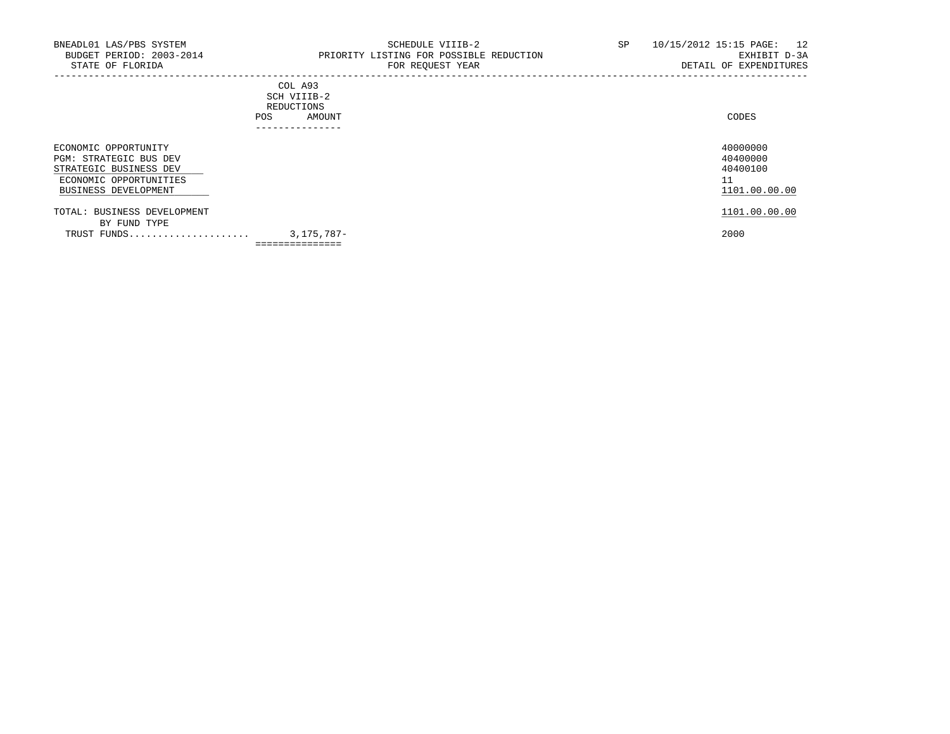-----------------------------------------------------------------------------------------------------------------------------------

## COL A93 SCH VIIIB-2 REDUCTIONS POS AMOUNT ---------------

| ECONOMIC OPPORTUNITY        |                 | 40000000      |
|-----------------------------|-----------------|---------------|
| PGM: STRATEGIC BUS DEV      |                 | 40400000      |
| STRATEGIC BUSINESS DEV      |                 | 40400100      |
| ECONOMIC OPPORTUNITIES      |                 | 11            |
| BUSINESS DEVELOPMENT        |                 | 1101.00.00.00 |
| TOTAL: BUSINESS DEVELOPMENT |                 | 1101.00.00.00 |
| BY FUND TYPE                |                 |               |
| TRUST FUNDS                 | 3,175,787-      | 2000          |
|                             | =============== |               |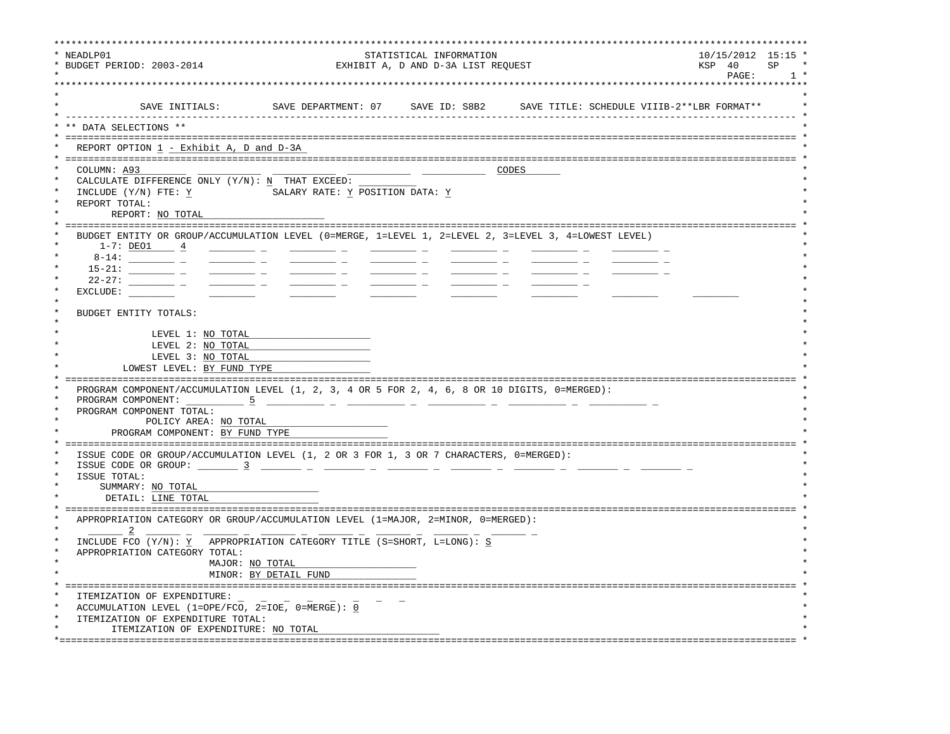| NEADLP01<br>* BUDGET PERIOD: 2003-2014                                                                                                                                                                                                                                |                                                                                                                       | STATISTICAL INFORMATION<br>EXHIBIT A, D AND D-3A LIST REQUEST |                                                                              | $10/15/2012$ 15:15 '<br>KSP 40<br><b>SP</b><br>PAGE:<br>1, |
|-----------------------------------------------------------------------------------------------------------------------------------------------------------------------------------------------------------------------------------------------------------------------|-----------------------------------------------------------------------------------------------------------------------|---------------------------------------------------------------|------------------------------------------------------------------------------|------------------------------------------------------------|
| SAVE INITIALS:                                                                                                                                                                                                                                                        |                                                                                                                       |                                                               | SAVE DEPARTMENT: 07 SAVE ID: S8B2 SAVE TITLE: SCHEDULE VIIIB-2**LBR FORMAT** |                                                            |
| DATA SELECTIONS **                                                                                                                                                                                                                                                    | ______________________________                                                                                        |                                                               |                                                                              |                                                            |
| REPORT OPTION 1 - Exhibit A, D and D-3A                                                                                                                                                                                                                               |                                                                                                                       |                                                               |                                                                              |                                                            |
| COLUMN: A93<br>CALCULATE DIFFERENCE ONLY (Y/N): N THAT EXCEED:<br>INCLUDE (Y/N) FTE: Y<br>REPORT TOTAL:<br>REPORT: NO TOTAL                                                                                                                                           | SALARY RATE: Y POSITION DATA: Y                                                                                       |                                                               | CODES                                                                        |                                                            |
| BUDGET ENTITY OR GROUP/ACCUMULATION LEVEL (0=MERGE, 1=LEVEL 1, 2=LEVEL 2, 3=LEVEL 3, 4=LOWEST LEVEL)<br>$1-7: DEO1 4$<br>$22 - 27:$<br>EXCLUDE:<br>BUDGET ENTITY TOTALS:<br>LEVEL 1: NO TOTAL<br>LEVEL 2: NO TOTAL<br>LEVEL 3: NO TOTAL<br>LOWEST LEVEL: BY FUND TYPE |                                                                                                                       |                                                               |                                                                              |                                                            |
| PROGRAM COMPONENT/ACCUMULATION LEVEL (1, 2, 3, 4 OR 5 FOR 2, 4, 6, 8 OR 10 DIGITS, 0=MERGED):<br>PROGRAM COMPONENT:<br>$-5$<br>PROGRAM COMPONENT TOTAL:<br>POLICY AREA: NO TOTAL<br>PROGRAM COMPONENT: BY FUND TYPE                                                   | <u> 1999 - Jan James James Jan James James Jan James James Jan James James Jan James James Jan James James Jan Ja</u> |                                                               |                                                                              |                                                            |
| ISSUE CODE OR GROUP/ACCUMULATION LEVEL (1, 2 OR 3 FOR 1, 3 OR 7 CHARACTERS, 0=MERGED):<br>ISSUE TOTAL:<br>SUMMARY: NO TOTAL<br>DETAIL: LINE TOTAL                                                                                                                     |                                                                                                                       |                                                               |                                                                              |                                                            |
| APPROPRIATION CATEGORY OR GROUP/ACCUMULATION LEVEL (1=MAJOR, 2=MINOR, 0=MERGED):<br>INCLUDE FCO (Y/N): Y APPROPRIATION CATEGORY TITLE (S=SHORT, L=LONG): S<br>APPROPRIATION CATEGORY TOTAL:                                                                           | MAJOR: NO TOTAL<br>MINOR: BY DETAIL FUND                                                                              |                                                               |                                                                              |                                                            |
| ITEMIZATION OF EXPENDITURE:<br>ACCUMULATION LEVEL (1=OPE/FCO, 2=IOE, 0=MERGE): 0<br>ITEMIZATION OF EXPENDITURE TOTAL:<br>ITEMIZATION OF EXPENDITURE: NO TOTAL                                                                                                         | -------------------------------                                                                                       |                                                               |                                                                              |                                                            |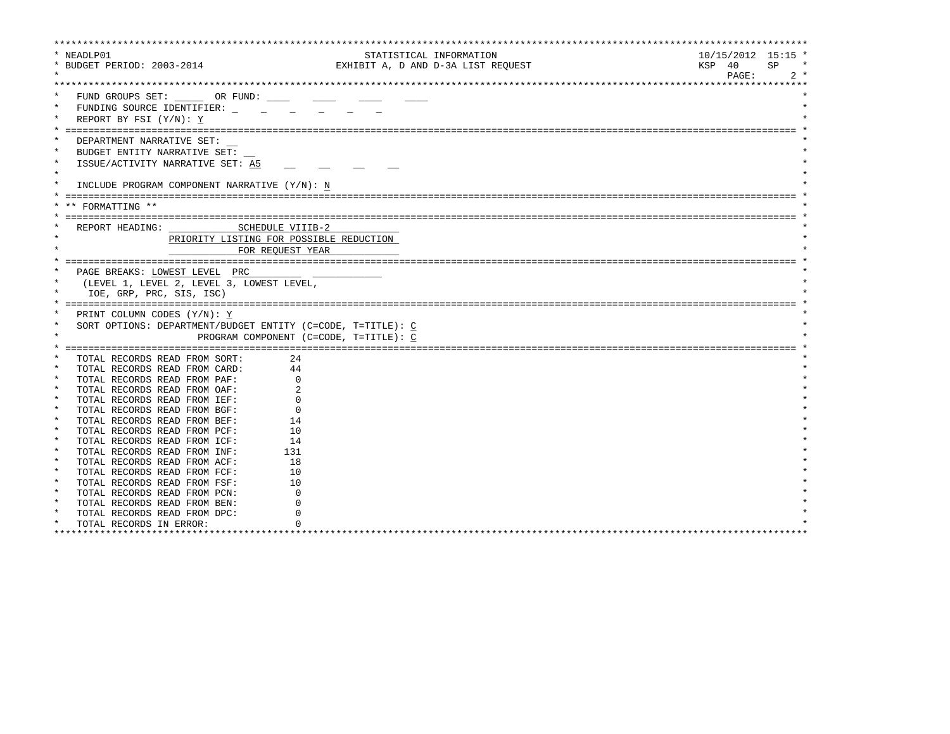| * NEADLP01                         |                                                                    | STATISTICAL INFORMATION                |                    | $10/15/2012$ 15:15 * |
|------------------------------------|--------------------------------------------------------------------|----------------------------------------|--------------------|----------------------|
| * BUDGET PERIOD: 2003-2014         |                                                                    | EXHIBIT A, D AND D-3A LIST REQUEST     |                    | KSP 40<br>SP         |
|                                    |                                                                    |                                        |                    | PAGE:<br>$2 *$       |
|                                    |                                                                    |                                        |                    |                      |
|                                    | FUND GROUPS SET: OR FUND:                                          |                                        |                    |                      |
| $\star$                            | FUNDING SOURCE IDENTIFIER:                                         |                                        |                    |                      |
| REPORT BY FSI (Y/N): Y             |                                                                    |                                        |                    |                      |
|                                    |                                                                    |                                        |                    |                      |
|                                    |                                                                    |                                        |                    |                      |
| DEPARTMENT NARRATIVE SET:          |                                                                    |                                        |                    |                      |
|                                    | BUDGET ENTITY NARRATIVE SET:                                       |                                        |                    |                      |
| $\star$                            | ISSUE/ACTIVITY NARRATIVE SET: A5                                   |                                        |                    |                      |
| $\star$                            |                                                                    |                                        |                    |                      |
| $\star$                            | INCLUDE PROGRAM COMPONENT NARRATIVE (Y/N): N                       |                                        |                    |                      |
|                                    |                                                                    |                                        |                    |                      |
| ** FORMATTING **                   |                                                                    |                                        |                    |                      |
|                                    |                                                                    |                                        |                    |                      |
| REPORT HEADING:                    | SCHEDULE VIIIB-2                                                   |                                        |                    |                      |
|                                    | PRIORITY LISTING FOR POSSIBLE REDUCTION                            |                                        |                    |                      |
|                                    |                                                                    |                                        |                    |                      |
|                                    | FOR REOUEST YEAR                                                   |                                        |                    |                      |
|                                    |                                                                    |                                        |                    |                      |
|                                    | PAGE BREAKS: LOWEST LEVEL PRC                                      |                                        |                    |                      |
| $\star$                            | (LEVEL 1, LEVEL 2, LEVEL 3, LOWEST LEVEL,                          |                                        |                    |                      |
| IOE, GRP, PRC, SIS, ISC)           |                                                                    |                                        |                    |                      |
|                                    |                                                                    |                                        |                    |                      |
| PRINT COLUMN CODES (Y/N): Y        |                                                                    |                                        |                    |                      |
| $\star$                            | SORT OPTIONS: DEPARTMENT/BUDGET ENTITY (C=CODE, T=TITLE): C        |                                        |                    |                      |
| $\star$                            |                                                                    | PROGRAM COMPONENT (C=CODE, T=TITLE): C |                    |                      |
|                                    |                                                                    |                                        |                    |                      |
| *                                  | TOTAL RECORDS READ FROM SORT:<br>24                                |                                        |                    |                      |
|                                    | 44<br>TOTAL RECORDS READ FROM CARD:                                |                                        |                    |                      |
|                                    | TOTAL RECORDS READ FROM PAF:                                       | $\Omega$                               |                    |                      |
| $\star$                            | TOTAL RECORDS READ FROM OAF:                                       |                                        |                    |                      |
| $\star$                            | TOTAL RECORDS READ FROM IEF:                                       |                                        |                    |                      |
| $\star$                            | TOTAL RECORDS READ FROM BGF:                                       |                                        |                    |                      |
| $\star$                            | 14                                                                 |                                        |                    |                      |
| $\star$                            | TOTAL RECORDS READ FROM BEF:<br>TOTAL RECORDS READ FROM PCF:<br>10 |                                        |                    |                      |
| $\star$                            |                                                                    |                                        |                    |                      |
| $\star$                            | TOTAL RECORDS READ FROM ICF:<br>14                                 |                                        |                    |                      |
|                                    | 131<br>TOTAL RECORDS READ FROM INF:                                |                                        |                    |                      |
| $\star$                            | 18<br>TOTAL RECORDS READ FROM ACF:                                 |                                        |                    |                      |
| $\star$                            | 10<br>TOTAL RECORDS READ FROM FCF:                                 |                                        |                    |                      |
| $\star$                            | TOTAL RECORDS READ FROM FSF:<br>10                                 |                                        |                    |                      |
| $\star$                            | TOTAL RECORDS READ FROM PCN:                                       | U                                      |                    |                      |
|                                    | TOTAL RECORDS READ FROM BEN:                                       |                                        |                    |                      |
| $\star$                            | TOTAL RECORDS READ FROM DPC:                                       |                                        |                    |                      |
| $\star$<br>TOTAL RECORDS IN ERROR: |                                                                    |                                        |                    |                      |
| ********************************   |                                                                    | **********************************     | ****************** |                      |